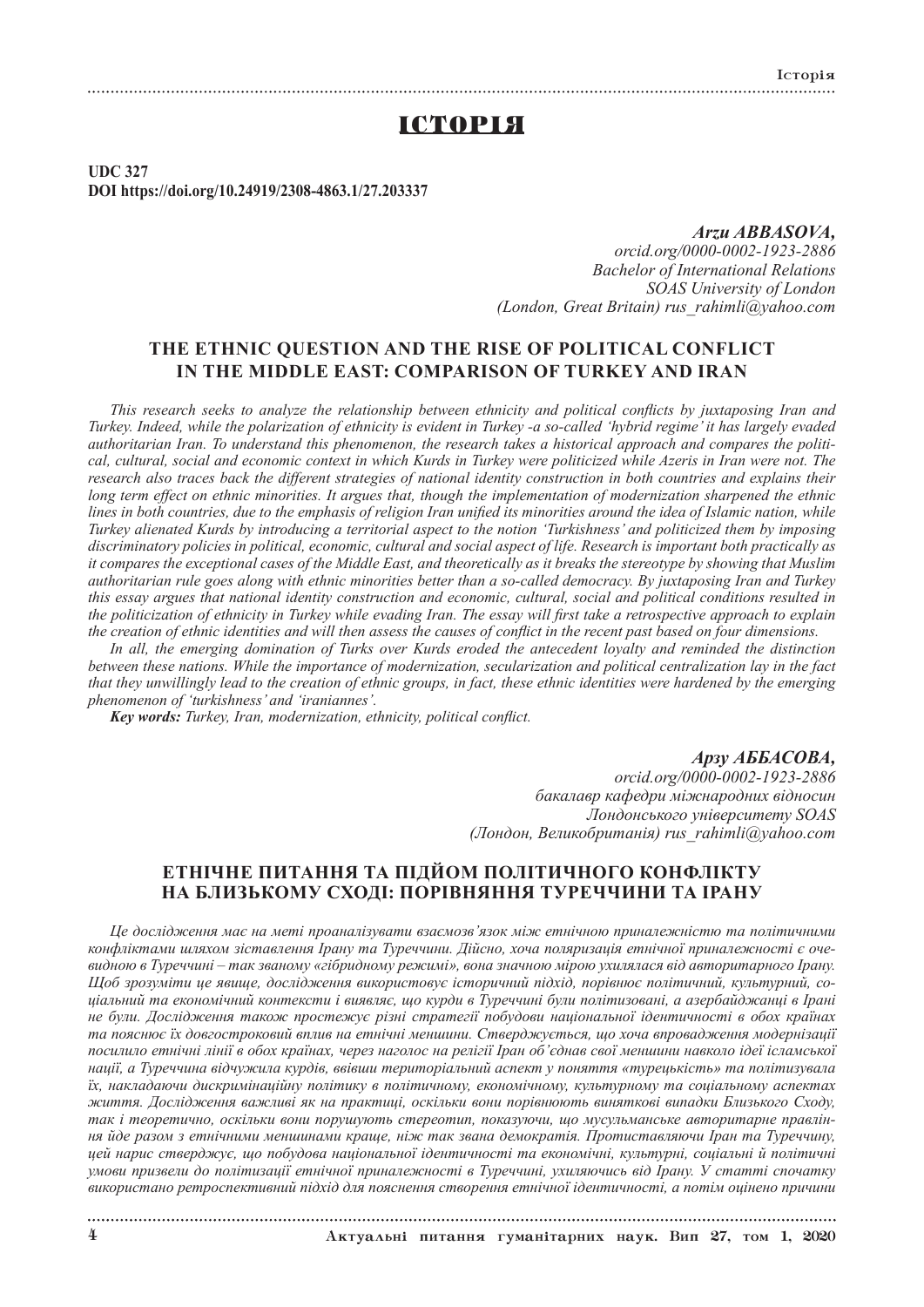## IСТОРIЯ

**UDC 327 DOI https://doi.org/10.24919/2308-4863.1/27.203337**

> *Arzu ABBASOVA, orcid.org/0000-0002-1923-2886 Bachelor of International Relations SOAS University of London (London, Great Britain) rus\_rahimli@yahoo.com*

## **THE ETHNIC QUESTION AND THE RISE OF POLITICAL CONFLICT IN THE MIDDLE EAST: COMPARISON OF TURKEY AND IRAN**

*This research seeks to analyze the relationship between ethnicity and political conflicts by juxtaposing Iran and Turkey. Indeed, while the polarization of ethnicity is evident in Turkey -a so-called 'hybrid regime' it has largely evaded authoritarian Iran. To understand this phenomenon, the research takes a historical approach and compares the political, cultural, social and economic context in which Kurds in Turkey were politicized while Azeris in Iran were not. The research also traces back the different strategies of national identity construction in both countries and explains their long term effect on ethnic minorities. It argues that, though the implementation of modernization sharpened the ethnic lines in both countries, due to the emphasis of religion Iran unified its minorities around the idea of Islamic nation, while Turkey alienated Kurds by introducing a territorial aspect to the notion 'Turkishness' and politicized them by imposing discriminatory policies in political, economic, cultural and social aspect of life. Research is important both practically as it compares the exceptional cases of the Middle East, and theoretically as it breaks the stereotype by showing that Muslim authoritarian rule goes along with ethnic minorities better than a so-called democracy. By juxtaposing Iran and Turkey this essay argues that national identity construction and economic, cultural, social and political conditions resulted in the politicization of ethnicity in Turkey while evading Iran. The essay will first take a retrospective approach to explain the creation of ethnic identities and will then assess the causes of conflict in the recent past based on four dimensions.*

*In all, the emerging domination of Turks over Kurds eroded the antecedent loyalty and reminded the distinction between these nations. While the importance of modernization, secularization and political centralization lay in the fact that they unwillingly lead to the creation of ethnic groups, in fact, these ethnic identities were hardened by the emerging phenomenon of 'turkishness' and 'iraniannes'.*

*Key words: Turkey, Iran, modernization, ethnicity, political conflict.*

### *Арзу АББАСОВА,*

*orcid.org/0000-0002-1923-2886 бакалавр кафедри міжнародних відносин Лондонського університету SOAS (Лондон, Великобританія) rus\_rahimli@yahoo.com*

## **ЕТНІЧНЕ ПИТАННЯ ТА ПІДЙОМ ПОЛІТИЧНОГО КОНФЛІКТУ НА БЛИЗЬКОМУ СХОДІ: ПОРІВНЯННЯ ТУРЕЧЧИНИ ТА ІРАНУ**

*Це дослідження має на меті проаналізувати взаємозв'язок між етнічною приналежністю та політичними конфліктами шляхом зіставлення Ірану та Туреччини. Дійсно, хоча поляризація етнічної приналежності є очевидною в Туреччині – так званому «гібридному режимі», вона значною мірою ухилялася від авторитарного Ірану. Щоб зрозуміти це явище, дослідження використовує історичний підхід, порівнює політичний, культурний, соціальний та економічний контексти і виявляє, що курди в Туреччині були політизовані, а азербайджанці в Ірані не були. Дослідження також простежує різні стратегії побудови національної ідентичності в обох країнах та пояснює їх довгостроковий вплив на етнічні меншини. Стверджується, що хоча впровадження модернізації посилило етнічні лінії в обох країнах, через наголос на релігії Іран об'єднав свої меншини навколо ідеї ісламської нації, а Туреччина відчужила курдів, ввівши територіальний аспект у поняття «турецькість» та політизувала їх, накладаючи дискримінаційну політику в політичному, економічному, культурному та соціальному аспектах життя. Дослідження важливі як на практиці, оскільки вони порівнюють виняткові випадки Близького Сходу, так і теоретично, оскільки вони порушують стереотип, показуючи, що мусульманське авторитарне правління йде разом з етнічними меншинами краще, ніж так звана демократія. Протиставляючи Іран та Туреччину, цей нарис стверджує, що побудова національної ідентичності та економічні, культурні, соціальні й політичні умови призвели до політизації етнічної приналежності в Туреччині, ухиляючись від Ірану. У статті спочатку використано ретроспективний підхід для пояснення створення етнічної ідентичності, а потім оцінено причини* 

4 Актуальнi питання гуманiтарних наук. Вип 27, том 1, 2020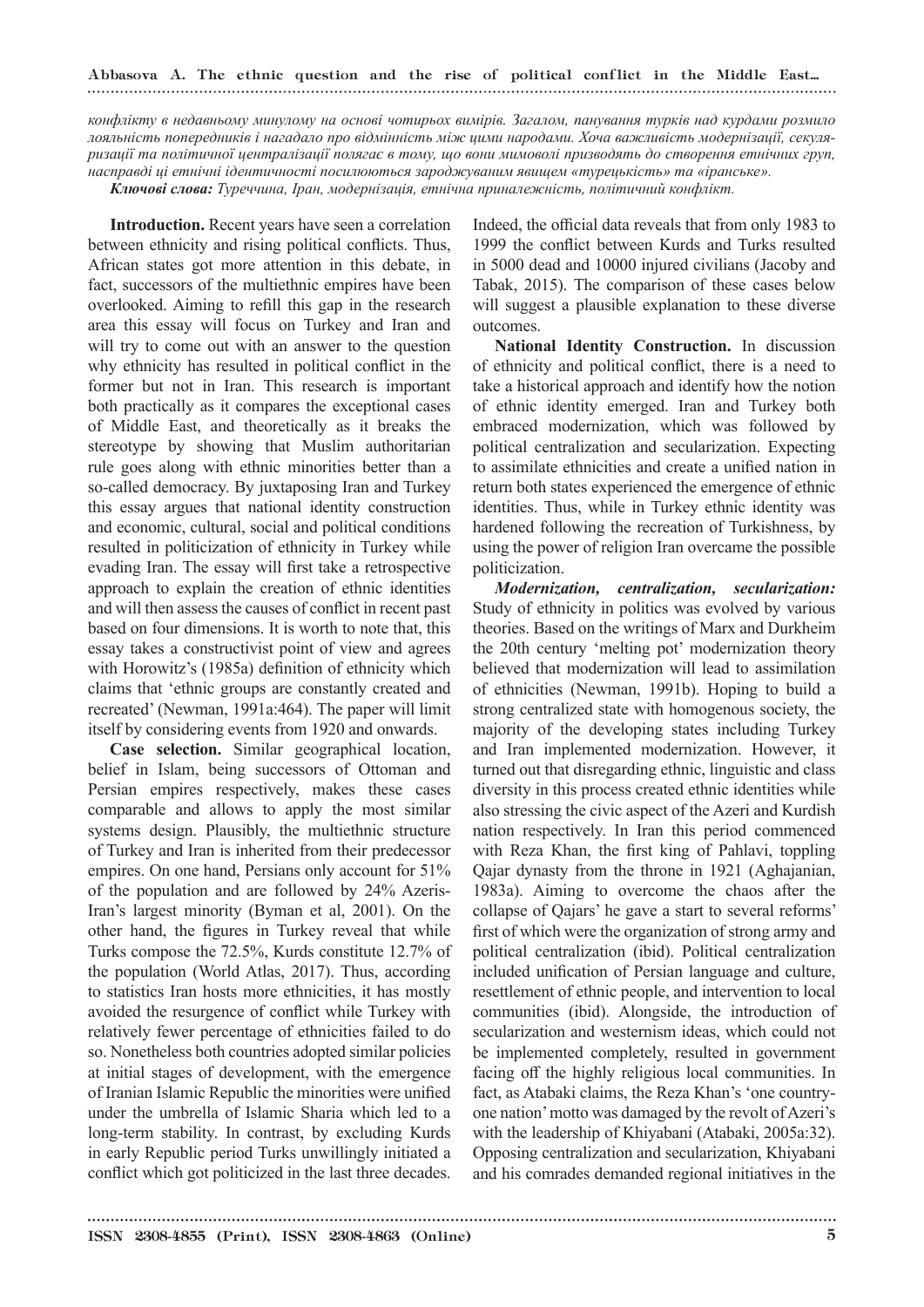# Abbasova А. The ethnic question and the rise of political conflict in the Middle East...

*конфлікту в недавньому минулому на основі чотирьох вимірів. Загалом, панування турків над курдами розмило лояльність попередників і нагадало про відмінність між цими народами. Хоча важливість модернізації, секуляризації та політичної централізації полягає в тому, що вони мимоволі призводять до створення етнічних груп, насправді ці етнічні ідентичності посилюються зароджуваним явищем «турецькість» та «іранське».*

*Ключові слова: Туреччина, Іран, модернізація, етнічна приналежність, політичний конфлікт.*

**Introduction.** Recent years have seen a correlation between ethnicity and rising political conflicts. Thus, African states got more attention in this debate, in fact, successors of the multiethnic empires have been overlooked. Aiming to refill this gap in the research area this essay will focus on Turkey and Iran and will try to come out with an answer to the question why ethnicity has resulted in political conflict in the former but not in Iran. This research is important both practically as it compares the exceptional cases of Middle East, and theoretically as it breaks the stereotype by showing that Muslim authoritarian rule goes along with ethnic minorities better than a so-called democracy. By juxtaposing Iran and Turkey this essay argues that national identity construction and economic, cultural, social and political conditions resulted in politicization of ethnicity in Turkey while evading Iran. The essay will first take a retrospective approach to explain the creation of ethnic identities and will then assess the causes of conflict in recent past based on four dimensions. It is worth to note that, this essay takes a constructivist point of view and agrees with Horowitz's (1985a) definition of ethnicity which claims that 'ethnic groups are constantly created and recreated' (Newman, 1991a:464). The paper will limit itself by considering events from 1920 and onwards.

**Case selection.** Similar geographical location, belief in Islam, being successors of Ottoman and Persian empires respectively, makes these cases comparable and allows to apply the most similar systems design. Plausibly, the multiethnic structure of Turkey and Iran is inherited from their predecessor empires. On one hand, Persians only account for 51% of the population and are followed by 24% Azeris-Iran's largest minority (Byman et al, 2001). On the other hand, the figures in Turkey reveal that while Turks compose the 72.5%, Kurds constitute 12.7% of the population (World Atlas, 2017). Thus, according to statistics Iran hosts more ethnicities, it has mostly avoided the resurgence of conflict while Turkey with relatively fewer percentage of ethnicities failed to do so. Nonetheless both countries adopted similar policies at initial stages of development, with the emergence of Iranian Islamic Republic the minorities were unified under the umbrella of Islamic Sharia which led to a long-term stability. In contrast, by excluding Kurds in early Republic period Turks unwillingly initiated a conflict which got politicized in the last three decades.

Indeed, the official data reveals that from only 1983 to 1999 the conflict between Kurds and Turks resulted in 5000 dead and 10000 injured civilians (Jacoby and Tabak, 2015). The comparison of these cases below will suggest a plausible explanation to these diverse outcomes.

**National Identity Construction.** In discussion of ethnicity and political conflict, there is a need to take a historical approach and identify how the notion of ethnic identity emerged. Iran and Turkey both embraced modernization, which was followed by political centralization and secularization. Expecting to assimilate ethnicities and create a unified nation in return both states experienced the emergence of ethnic identities. Thus, while in Turkey ethnic identity was hardened following the recreation of Turkishness, by using the power of religion Iran overcame the possible politicization.

*Modernization, centralization, secularization:*  Study of ethnicity in politics was evolved by various theories. Based on the writings of Marx and Durkheim the 20th century 'melting pot' modernization theory believed that modernization will lead to assimilation of ethnicities (Newman, 1991b). Hoping to build a strong centralized state with homogenous society, the majority of the developing states including Turkey and Iran implemented modernization. However, it turned out that disregarding ethnic, linguistic and class diversity in this process created ethnic identities while also stressing the civic aspect of the Azeri and Kurdish nation respectively. In Iran this period commenced with Reza Khan, the first king of Pahlavi, toppling Qajar dynasty from the throne in 1921 (Aghajanian, 1983a). Aiming to overcome the chaos after the collapse of Qajars' he gave a start to several reforms' first of which were the organization of strong army and political centralization (ibid). Political centralization included unification of Persian language and culture, resettlement of ethnic people, and intervention to local communities (ibid). Alongside, the introduction of secularization and westernism ideas, which could not be implemented completely, resulted in government facing off the highly religious local communities. In fact, as Atabaki claims, the Reza Khan's 'one countryone nation' motto was damaged by the revolt of Azeri's with the leadership of Khiyabani (Atabaki, 2005a:32). Opposing centralization and secularization, Khiyabani and his comrades demanded regional initiatives in the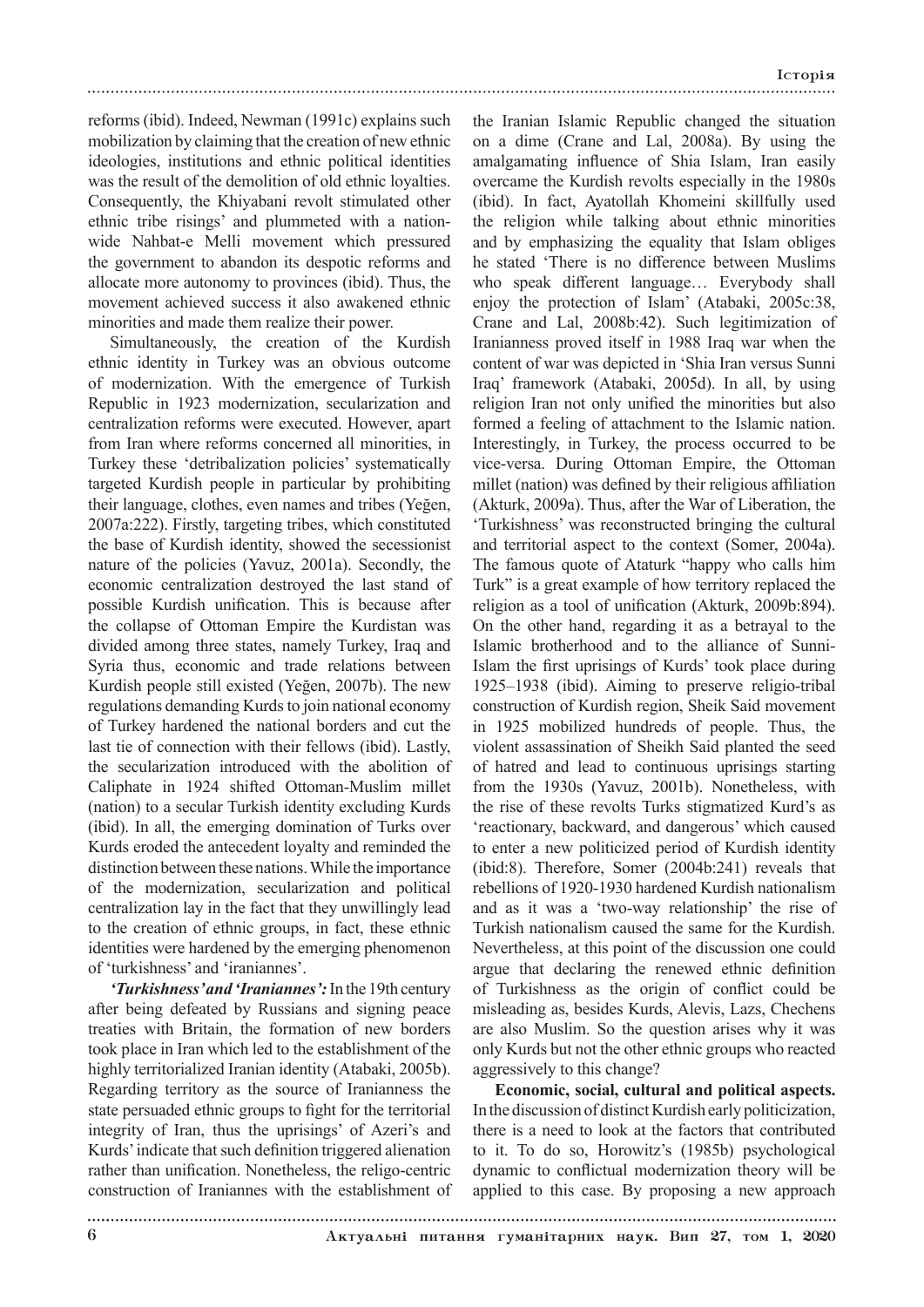reforms (ibid). Indeed, Newman (1991c) explains such mobilization by claiming that the creation of new ethnic ideologies, institutions and ethnic political identities was the result of the demolition of old ethnic loyalties. Consequently, the Khiyabani revolt stimulated other ethnic tribe risings' and plummeted with a nationwide Nahbat-e Melli movement which pressured the government to abandon its despotic reforms and allocate more autonomy to provinces (ibid). Thus, the movement achieved success it also awakened ethnic minorities and made them realize their power.

Simultaneously, the creation of the Kurdish ethnic identity in Turkey was an obvious outcome of modernization. With the emergence of Turkish Republic in 1923 modernization, secularization and centralization reforms were executed. However, apart from Iran where reforms concerned all minorities, in Turkey these 'detribalization policies' systematically targeted Kurdish people in particular by prohibiting their language, clothes, even names and tribes (Yeğen, 2007a:222). Firstly, targeting tribes, which constituted the base of Kurdish identity, showed the secessionist nature of the policies (Yavuz, 2001a). Secondly, the economic centralization destroyed the last stand of possible Kurdish unification. This is because after the collapse of Ottoman Empire the Kurdistan was divided among three states, namely Turkey, Iraq and Syria thus, economic and trade relations between Kurdish people still existed (Yeğen, 2007b). The new regulations demanding Kurds to join national economy of Turkey hardened the national borders and cut the last tie of connection with their fellows (ibid). Lastly, the secularization introduced with the abolition of Caliphate in 1924 shifted Ottoman-Muslim millet (nation) to a secular Turkish identity excluding Kurds (ibid). In all, the emerging domination of Turks over Kurds eroded the antecedent loyalty and reminded the distinction between these nations. While the importance of the modernization, secularization and political centralization lay in the fact that they unwillingly lead to the creation of ethnic groups, in fact, these ethnic identities were hardened by the emerging phenomenon of 'turkishness' and 'iraniannes'.

*'Turkishness' and 'Iraniannes':* In the 19th century after being defeated by Russians and signing peace treaties with Britain, the formation of new borders took place in Iran which led to the establishment of the highly territorialized Iranian identity (Atabaki, 2005b). Regarding territory as the source of Iranianness the state persuaded ethnic groups to fight for the territorial integrity of Iran, thus the uprisings' of Azeri's and Kurds' indicate that such definition triggered alienation rather than unification. Nonetheless, the religo-centric construction of Iraniannes with the establishment of

the Iranian Islamic Republic changed the situation on a dime (Crane and Lal, 2008a). By using the amalgamating influence of Shia Islam, Iran easily overcame the Kurdish revolts especially in the 1980s (ibid). In fact, Ayatollah Khomeini skillfully used the religion while talking about ethnic minorities and by emphasizing the equality that Islam obliges he stated 'There is no difference between Muslims who speak different language… Everybody shall enjoy the protection of Islam' (Atabaki, 2005c:38, Crane and Lal, 2008b:42). Such legitimization of Iranianness proved itself in 1988 Iraq war when the content of war was depicted in 'Shia Iran versus Sunni Iraq' framework (Atabaki, 2005d). In all, by using religion Iran not only unified the minorities but also formed a feeling of attachment to the Islamic nation. Interestingly, in Turkey, the process occurred to be vice-versa. During Ottoman Empire, the Ottoman millet (nation) was defined by their religious affiliation (Akturk, 2009a). Thus, after the War of Liberation, the 'Turkishness' was reconstructed bringing the cultural and territorial aspect to the context (Somer, 2004a). The famous quote of Ataturk "happy who calls him Turk" is a great example of how territory replaced the religion as a tool of unification (Akturk, 2009b:894). On the other hand, regarding it as a betrayal to the Islamic brotherhood and to the alliance of Sunni-Islam the first uprisings of Kurds' took place during 1925–1938 (ibid). Aiming to preserve religio-tribal construction of Kurdish region, Sheik Said movement in 1925 mobilized hundreds of people. Thus, the violent assassination of Sheikh Said planted the seed of hatred and lead to continuous uprisings starting from the 1930s (Yavuz, 2001b). Nonetheless, with the rise of these revolts Turks stigmatized Kurd's as 'reactionary, backward, and dangerous' which caused to enter a new politicized period of Kurdish identity (ibid:8). Therefore, Somer (2004b:241) reveals that rebellions of 1920-1930 hardened Kurdish nationalism and as it was a 'two-way relationship' the rise of Turkish nationalism caused the same for the Kurdish. Nevertheless, at this point of the discussion one could argue that declaring the renewed ethnic definition of Turkishness as the origin of conflict could be misleading as, besides Kurds, Alevis, Lazs, Chechens are also Muslim. So the question arises why it was only Kurds but not the other ethnic groups who reacted aggressively to this change?

**Economic, social, cultural and political aspects.**  In the discussion of distinct Kurdish early politicization, there is a need to look at the factors that contributed to it. To do so, Horowitz's (1985b) psychological dynamic to conflictual modernization theory will be applied to this case. By proposing a new approach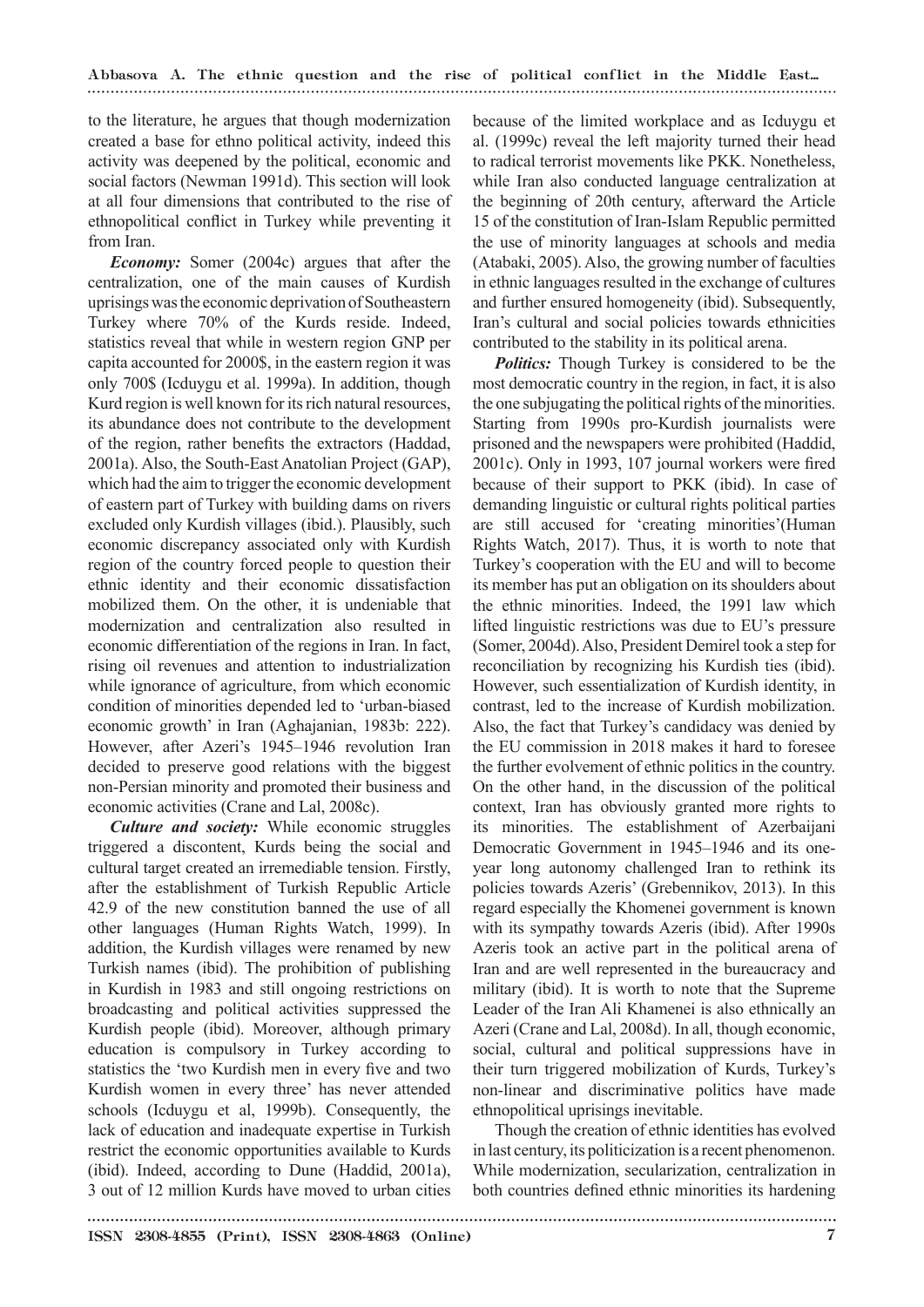Abbasova А. The ethnic question and the rise of political conflict in the Middle East...

to the literature, he argues that though modernization created a base for ethno political activity, indeed this activity was deepened by the political, economic and social factors (Newman 1991d). This section will look at all four dimensions that contributed to the rise of ethnopolitical conflict in Turkey while preventing it from Iran.

*Economy:* Somer (2004c) argues that after the centralization, one of the main causes of Kurdish uprisings was the economic deprivation of Southeastern Turkey where 70% of the Kurds reside. Indeed, statistics reveal that while in western region GNP per capita accounted for 2000\$, in the eastern region it was only 700\$ (Icduygu et al. 1999a). In addition, though Kurd region is well known for its rich natural resources, its abundance does not contribute to the development of the region, rather benefits the extractors (Haddad, 2001a). Also, the South-East Anatolian Project (GAP), which had the aim to trigger the economic development of eastern part of Turkey with building dams on rivers excluded only Kurdish villages (ibid.). Plausibly, such economic discrepancy associated only with Kurdish region of the country forced people to question their ethnic identity and their economic dissatisfaction mobilized them. On the other, it is undeniable that modernization and centralization also resulted in economic differentiation of the regions in Iran. In fact, rising oil revenues and attention to industrialization while ignorance of agriculture, from which economic condition of minorities depended led to 'urban-biased economic growth' in Iran (Aghajanian, 1983b: 222). However, after Azeri's 1945–1946 revolution Iran decided to preserve good relations with the biggest non-Persian minority and promoted their business and economic activities (Crane and Lal, 2008c).

*Culture and society:* While economic struggles triggered a discontent, Kurds being the social and cultural target created an irremediable tension. Firstly, after the establishment of Turkish Republic Article 42.9 of the new constitution banned the use of all other languages (Human Rights Watch, 1999). In addition, the Kurdish villages were renamed by new Turkish names (ibid). The prohibition of publishing in Kurdish in 1983 and still ongoing restrictions on broadcasting and political activities suppressed the Kurdish people (ibid). Moreover, although primary education is compulsory in Turkey according to statistics the 'two Kurdish men in every five and two Kurdish women in every three' has never attended schools (Icduygu et al, 1999b). Consequently, the lack of education and inadequate expertise in Turkish restrict the economic opportunities available to Kurds (ibid). Indeed, according to Dune (Haddid, 2001a), 3 out of 12 million Kurds have moved to urban cities

because of the limited workplace and as Icduygu et al. (1999c) reveal the left majority turned their head to radical terrorist movements like PKK. Nonetheless, while Iran also conducted language centralization at the beginning of 20th century, afterward the Article 15 of the constitution of Iran-Islam Republic permitted the use of minority languages at schools and media (Atabaki, 2005). Also, the growing number of faculties in ethnic languages resulted in the exchange of cultures and further ensured homogeneity (ibid). Subsequently, Iran's cultural and social policies towards ethnicities contributed to the stability in its political arena.

*Politics:* Though Turkey is considered to be the most democratic country in the region, in fact, it is also the one subjugating the political rights of the minorities. Starting from 1990s pro-Kurdish journalists were prisoned and the newspapers were prohibited (Haddid, 2001c). Only in 1993, 107 journal workers were fired because of their support to PKK (ibid). In case of demanding linguistic or cultural rights political parties are still accused for 'creating minorities'(Human Rights Watch, 2017). Thus, it is worth to note that Turkey's cooperation with the EU and will to become its member has put an obligation on its shoulders about the ethnic minorities. Indeed, the 1991 law which lifted linguistic restrictions was due to EU's pressure (Somer, 2004d). Also, President Demirel took a step for reconciliation by recognizing his Kurdish ties (ibid). However, such essentialization of Kurdish identity, in contrast, led to the increase of Kurdish mobilization. Also, the fact that Turkey's candidacy was denied by the EU commission in 2018 makes it hard to foresee the further evolvement of ethnic politics in the country. On the other hand, in the discussion of the political context, Iran has obviously granted more rights to its minorities. The establishment of Azerbaijani Democratic Government in 1945–1946 and its oneyear long autonomy challenged Iran to rethink its policies towards Azeris' (Grebennikov, 2013). In this regard especially the Khomenei government is known with its sympathy towards Azeris (ibid). After 1990s Azeris took an active part in the political arena of Iran and are well represented in the bureaucracy and military (ibid). It is worth to note that the Supreme Leader of the Iran Ali Khamenei is also ethnically an Azeri (Crane and Lal, 2008d). In all, though economic, social, cultural and political suppressions have in their turn triggered mobilization of Kurds, Turkey's non-linear and discriminative politics have made ethnopolitical uprisings inevitable.

Though the creation of ethnic identities has evolved in last century, its politicization is a recent phenomenon. While modernization, secularization, centralization in both countries defined ethnic minorities its hardening

ISSN 2308-4855 (Print), ISSN 2308-4863 (Online) 7